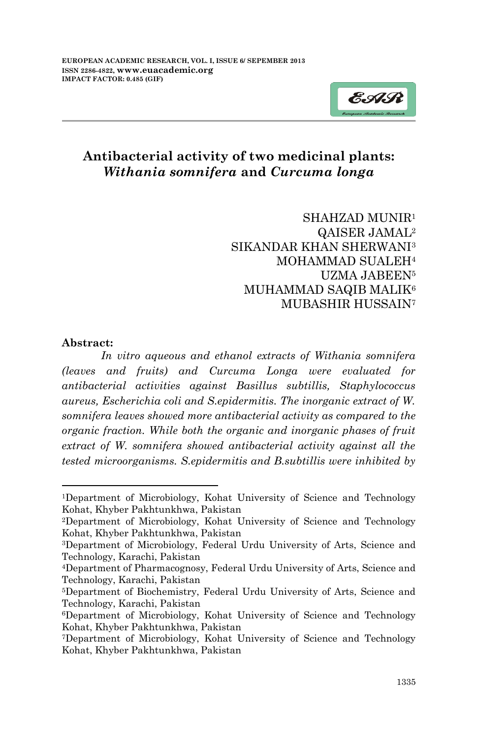

# **Antibacterial activity of two medicinal plants:** *Withania somnifera* **and** *Curcuma longa*

SHAHZAD MUNIR<sup>1</sup> QAISER JAMAL<sup>2</sup> SIKANDAR KHAN SHERWANI<sup>3</sup> MOHAMMAD SUALEH<sup>4</sup> UZMA JABEEN<sup>5</sup> MUHAMMAD SAQIB MALIK<sup>6</sup> MUBASHIR HUSSAIN<sup>7</sup>

#### **Abstract:**

-

*In vitro aqueous and ethanol extracts of Withania somnifera (leaves and fruits) and Curcuma Longa were evaluated for antibacterial activities against Basillus subtillis, Staphylococcus aureus, Escherichia coli and S.epidermitis. The inorganic extract of W. somnifera leaves showed more antibacterial activity as compared to the organic fraction. While both the organic and inorganic phases of fruit extract of W. somnifera showed antibacterial activity against all the tested microorganisms. S.epidermitis and B.subtillis were inhibited by* 

<sup>1</sup>Department of Microbiology, Kohat University of Science and Technology Kohat, Khyber Pakhtunkhwa, Pakistan

<sup>2</sup>Department of Microbiology, Kohat University of Science and Technology Kohat, Khyber Pakhtunkhwa, Pakistan

<sup>3</sup>Department of Microbiology, Federal Urdu University of Arts, Science and Technology, Karachi, Pakistan

<sup>4</sup>Department of Pharmacognosy, Federal Urdu University of Arts, Science and Technology, Karachi, Pakistan

<sup>5</sup>Department of Biochemistry, Federal Urdu University of Arts, Science and Technology, Karachi, Pakistan

<sup>6</sup>Department of Microbiology, Kohat University of Science and Technology Kohat, Khyber Pakhtunkhwa, Pakistan

<sup>7</sup>Department of Microbiology, Kohat University of Science and Technology Kohat, Khyber Pakhtunkhwa, Pakistan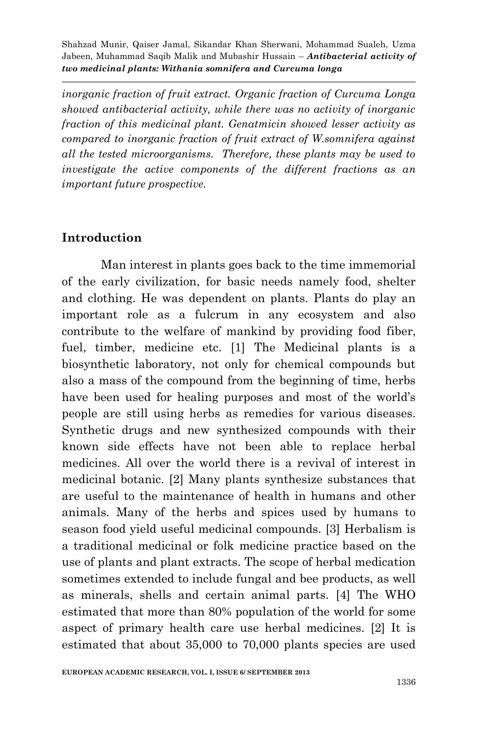*inorganic fraction of fruit extract. Organic fraction of Curcuma Longa showed antibacterial activity, while there was no activity of inorganic fraction of this medicinal plant. Genatmicin showed lesser activity as compared to inorganic fraction of fruit extract of W.somnifera against all the tested microorganisms. Therefore, these plants may be used to investigate the active components of the different fractions as an important future prospective.*

### **Introduction**

Man interest in plants goes back to the time immemorial of the early civilization, for basic needs namely food, shelter and clothing. He was dependent on plants. Plants do play an important role as a fulcrum in any ecosystem and also contribute to the welfare of mankind by providing food fiber, fuel, timber, medicine etc. [1] The Medicinal plants is a biosynthetic laboratory, not only for chemical compounds but also a mass of the compound from the beginning of time, herbs have been used for healing purposes and most of the world's people are still using herbs as remedies for various diseases. Synthetic drugs and new synthesized compounds with their known side effects have not been able to replace herbal medicines. All over the world there is a revival of interest in medicinal botanic. [2] Many plants synthesize substances that are useful to the maintenance of health in humans and other animals. Many of the herbs and spices used by humans to season food yield useful medicinal compounds. [3] Herbalism is a traditional medicinal or folk medicine practice based on the use of plants and plant extracts. The scope of herbal medication sometimes extended to include fungal and bee products, as well as minerals, shells and certain animal parts. [4] The WHO estimated that more than 80% population of the world for some aspect of primary health care use herbal medicines. [2] It is estimated that about 35,000 to 70,000 plants species are used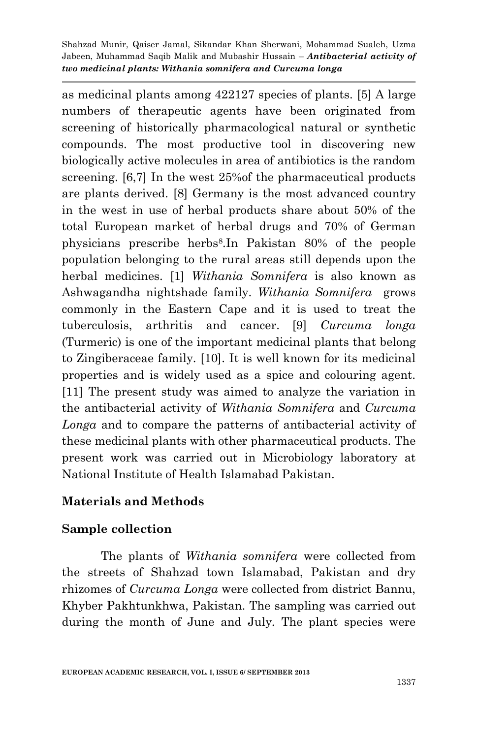as medicinal plants among 422127 species of plants. [5] A large numbers of therapeutic agents have been originated from screening of historically pharmacological natural or synthetic compounds. The most productive tool in discovering new biologically active molecules in area of antibiotics is the random screening. [6,7] In the west 25%of the pharmaceutical products are plants derived. [8] Germany is the most advanced country in the west in use of herbal products share about 50% of the total European market of herbal drugs and 70% of German physicians prescribe herbs<sup>8</sup> .In Pakistan 80% of the people population belonging to the rural areas still depends upon the herbal medicines. [1] *Withania Somnifera* is also known as Ashwagandha nightshade family. *Withania Somnifera* grows commonly in the Eastern Cape and it is used to treat the tuberculosis, arthritis and cancer. [9] *Curcuma longa* (Turmeric) is one of the important medicinal plants that belong to Zingiberaceae family. [10]. It is well known for its medicinal properties and is widely used as a spice and colouring agent. [11] The present study was aimed to analyze the variation in the antibacterial activity of *Withania Somnifera* and *Curcuma Longa* and to compare the patterns of antibacterial activity of these medicinal plants with other pharmaceutical products. The present work was carried out in Microbiology laboratory at National Institute of Health Islamabad Pakistan.

# **Materials and Methods**

### **Sample collection**

The plants of *Withania somnifera* were collected from the streets of Shahzad town Islamabad, Pakistan and dry rhizomes of *Curcuma Longa* were collected from district Bannu, Khyber Pakhtunkhwa, Pakistan. The sampling was carried out during the month of June and July. The plant species were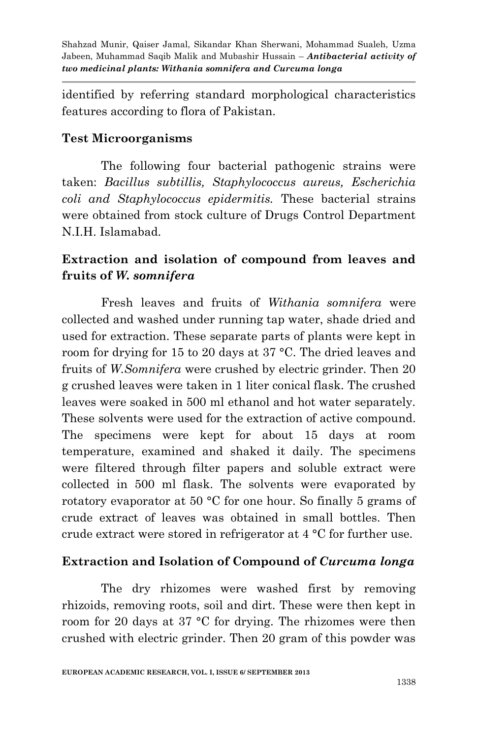identified by referring standard morphological characteristics features according to flora of Pakistan.

### **Test Microorganisms**

The following four bacterial pathogenic strains were taken: *Bacillus subtillis, Staphylococcus aureus, Escherichia coli and Staphylococcus epidermitis.* These bacterial strains were obtained from stock culture of Drugs Control Department N.I.H. Islamabad.

# **Extraction and isolation of compound from leaves and fruits of** *W. somnifera*

Fresh leaves and fruits of *Withania somnifera* were collected and washed under running tap water, shade dried and used for extraction. These separate parts of plants were kept in room for drying for 15 to 20 days at 37 °C. The dried leaves and fruits of *W.Somnifera* were crushed by electric grinder. Then 20 g crushed leaves were taken in 1 liter conical flask. The crushed leaves were soaked in 500 ml ethanol and hot water separately. These solvents were used for the extraction of active compound. The specimens were kept for about 15 days at room temperature, examined and shaked it daily. The specimens were filtered through filter papers and soluble extract were collected in 500 ml flask. The solvents were evaporated by rotatory evaporator at 50 °C for one hour. So finally 5 grams of crude extract of leaves was obtained in small bottles. Then crude extract were stored in refrigerator at 4 °C for further use.

# **Extraction and Isolation of Compound of** *Curcuma longa*

The dry rhizomes were washed first by removing rhizoids, removing roots, soil and dirt. These were then kept in room for 20 days at 37 °C for drying. The rhizomes were then crushed with electric grinder. Then 20 gram of this powder was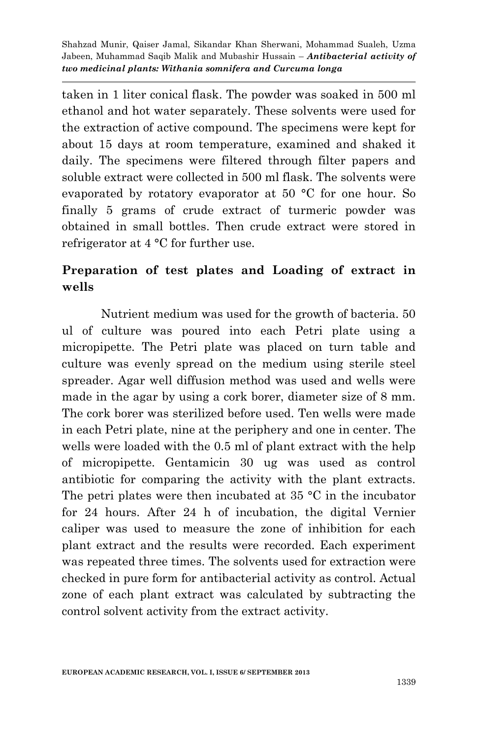taken in 1 liter conical flask. The powder was soaked in 500 ml ethanol and hot water separately. These solvents were used for the extraction of active compound. The specimens were kept for about 15 days at room temperature, examined and shaked it daily. The specimens were filtered through filter papers and soluble extract were collected in 500 ml flask. The solvents were evaporated by rotatory evaporator at 50 °C for one hour. So finally 5 grams of crude extract of turmeric powder was obtained in small bottles. Then crude extract were stored in refrigerator at 4 °C for further use.

# **Preparation of test plates and Loading of extract in wells**

Nutrient medium was used for the growth of bacteria. 50 ul of culture was poured into each Petri plate using a micropipette. The Petri plate was placed on turn table and culture was evenly spread on the medium using sterile steel spreader. Agar well diffusion method was used and wells were made in the agar by using a cork borer, diameter size of 8 mm. The cork borer was sterilized before used. Ten wells were made in each Petri plate, nine at the periphery and one in center. The wells were loaded with the 0.5 ml of plant extract with the help of micropipette. Gentamicin 30 ug was used as control antibiotic for comparing the activity with the plant extracts. The petri plates were then incubated at  $35 \text{ °C}$  in the incubator for 24 hours. After 24 h of incubation, the digital Vernier caliper was used to measure the zone of inhibition for each plant extract and the results were recorded. Each experiment was repeated three times. The solvents used for extraction were checked in pure form for antibacterial activity as control. Actual zone of each plant extract was calculated by subtracting the control solvent activity from the extract activity.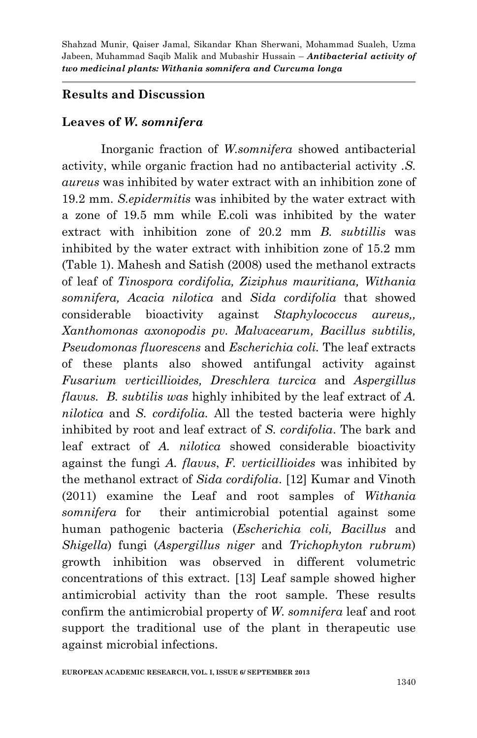### **Results and Discussion**

### **Leaves of** *W. somnifera*

Inorganic fraction of *W.somnifera* showed antibacterial activity, while organic fraction had no antibacterial activity .*S. aureus* was inhibited by water extract with an inhibition zone of 19.2 mm. *S.epidermitis* was inhibited by the water extract with a zone of 19.5 mm while E.coli was inhibited by the water extract with inhibition zone of 20.2 mm *B. subtillis* was inhibited by the water extract with inhibition zone of 15.2 mm (Table 1). Mahesh and Satish (2008) used the methanol extracts of leaf of *Tinospora cordifolia, Ziziphus mauritiana, Withania somnifera, Acacia nilotica* and *Sida cordifolia* that showed considerable bioactivity against *Staphylococcus aureus,, Xanthomonas axonopodis pv. Malvacearum, Bacillus subtilis, Pseudomonas fluorescens* and *Escherichia coli.* The leaf extracts of these plants also showed antifungal activity against *Fusarium verticillioides, Dreschlera turcica* and *Aspergillus flavus. B. subtilis was* highly inhibited by the leaf extract of *A. nilotica* and *S. cordifolia.* All the tested bacteria were highly inhibited by root and leaf extract of *S. cordifolia*. The bark and leaf extract of *A. nilotica* showed considerable bioactivity against the fungi *A. flavus*, *F. verticillioides* was inhibited by the methanol extract of *Sida cordifolia*. [12] Kumar and Vinoth (2011) examine the Leaf and root samples of *Withania somnifera* for their antimicrobial potential against some human pathogenic bacteria (*Escherichia coli, Bacillus* and *Shigella*) fungi (*Aspergillus niger* and *Trichophyton rubrum*) growth inhibition was observed in different volumetric concentrations of this extract. [13] Leaf sample showed higher antimicrobial activity than the root sample. These results confirm the antimicrobial property of *W. somnifera* leaf and root support the traditional use of the plant in therapeutic use against microbial infections.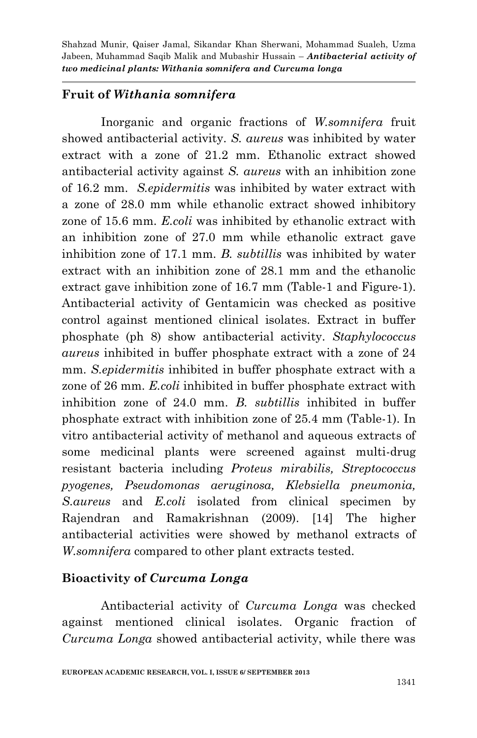### **Fruit of** *Withania somnifera*

Inorganic and organic fractions of *W.somnifera* fruit showed antibacterial activity. *S. aureus* was inhibited by water extract with a zone of 21.2 mm. Ethanolic extract showed antibacterial activity against *S. aureus* with an inhibition zone of 16.2 mm. *S.epidermitis* was inhibited by water extract with a zone of 28.0 mm while ethanolic extract showed inhibitory zone of 15.6 mm. *E.coli* was inhibited by ethanolic extract with an inhibition zone of 27.0 mm while ethanolic extract gave inhibition zone of 17.1 mm. *B. subtillis* was inhibited by water extract with an inhibition zone of 28.1 mm and the ethanolic extract gave inhibition zone of 16.7 mm (Table-1 and Figure-1). Antibacterial activity of Gentamicin was checked as positive control against mentioned clinical isolates. Extract in buffer phosphate (ph 8) show antibacterial activity. *Staphylococcus aureus* inhibited in buffer phosphate extract with a zone of 24 mm. *S.epidermitis* inhibited in buffer phosphate extract with a zone of 26 mm. *E.coli* inhibited in buffer phosphate extract with inhibition zone of 24.0 mm. *B. subtillis* inhibited in buffer phosphate extract with inhibition zone of 25.4 mm (Table-1). In vitro antibacterial activity of methanol and aqueous extracts of some medicinal plants were screened against multi-drug resistant bacteria including *Proteus mirabilis, Streptococcus pyogenes, Pseudomonas aeruginosa, Klebsiella pneumonia, S.aureus* and *E.coli* isolated from clinical specimen by Rajendran and Ramakrishnan (2009). [14] The higher antibacterial activities were showed by methanol extracts of *W.somnifera* compared to other plant extracts tested.

### **Bioactivity of** *Curcuma Longa*

Antibacterial activity of *Curcuma Longa* was checked against mentioned clinical isolates. Organic fraction of *Curcuma Longa* showed antibacterial activity, while there was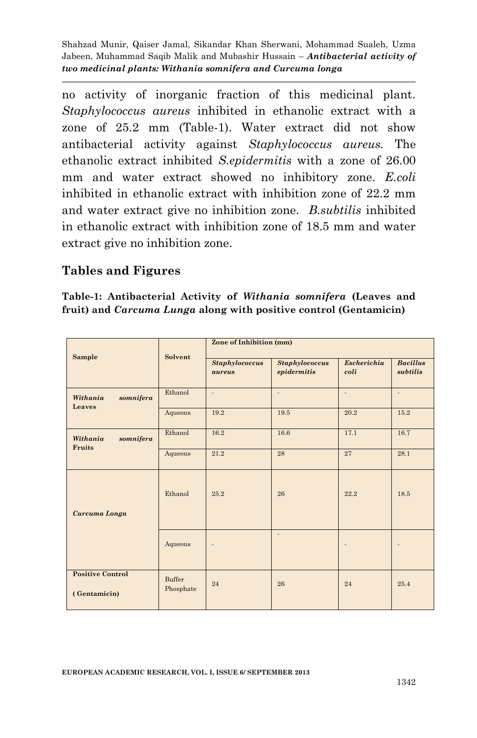no activity of inorganic fraction of this medicinal plant. *Staphylococcus aureus* inhibited in ethanolic extract with a zone of 25.2 mm (Table-1). Water extract did not show antibacterial activity against *Staphylococcus aureus.* The ethanolic extract inhibited *S.epidermitis* with a zone of 26.00 mm and water extract showed no inhibitory zone. *E.coli* inhibited in ethanolic extract with inhibition zone of 22.2 mm and water extract give no inhibition zone. *B.subtilis* inhibited in ethanolic extract with inhibition zone of 18.5 mm and water extract give no inhibition zone.

### **Tables and Figures**

**Table-1: Antibacterial Activity of** *Withania somnifera* **(Leaves and fruit) and** *Carcuma Lunga* **along with positive control (Gentamicin)**

| Sample                                  | Solvent             | Zone of Inhibition (mm)         |                                      |                            |                             |
|-----------------------------------------|---------------------|---------------------------------|--------------------------------------|----------------------------|-----------------------------|
|                                         |                     | <b>Staphylococcus</b><br>aureus | <b>Staphylococcus</b><br>epidermitis | <b>Escherichia</b><br>coli | <b>Bacillus</b><br>subtilis |
| Withania<br>somnifera<br>Leaves         | Ethanol             | ÷.                              | ä,                                   | ÷.                         | ÷.                          |
|                                         | Aqueous             | 19.2                            | 19.5                                 | 20.2                       | 15.2                        |
| Withania<br>somnifera<br>Fruits         | Ethanol             | 16.2                            | 16.6                                 | 17.1                       | 16.7                        |
|                                         | Aqueous             | 21.2                            | 28                                   | 27                         | 28.1                        |
| Curcuma Longa                           | Ethanol             | 25.2                            | 26                                   | 22.2                       | 18.5                        |
|                                         | Aqueous             |                                 | ÷.                                   |                            |                             |
| <b>Positive Control</b><br>(Gentamicin) | Buffer<br>Phosphate | 24                              | 26                                   | 24                         | 25.4                        |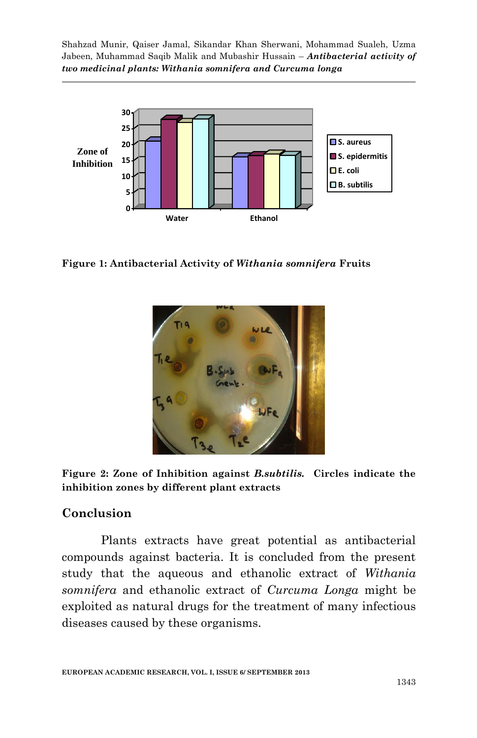

**Figure 1: Antibacterial Activity of** *Withania somnifera* **Fruits**



**Figure 2: Zone of Inhibition against** *B.subtilis.* **Circles indicate the inhibition zones by different plant extracts** 

### **Conclusion**

Plants extracts have great potential as antibacterial compounds against bacteria. It is concluded from the present study that the aqueous and ethanolic extract of *Withania somnifera* and ethanolic extract of *Curcuma Longa* might be exploited as natural drugs for the treatment of many infectious diseases caused by these organisms.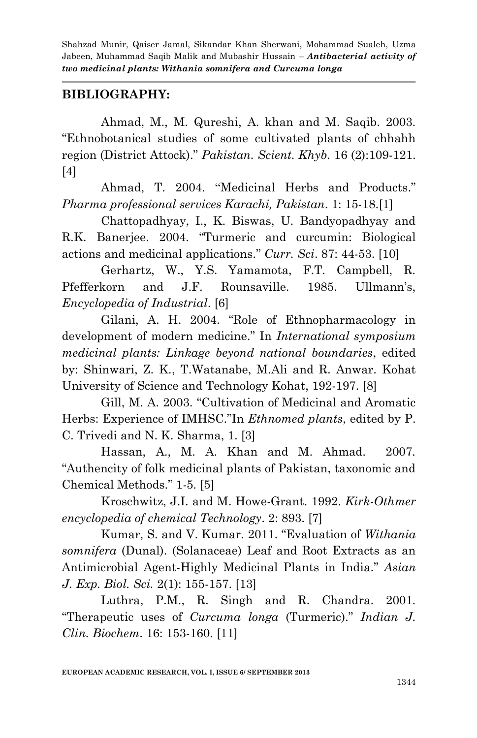### **BIBLIOGRAPHY:**

Ahmad, M., M. Qureshi, A. khan and M. Saqib. 2003. "Ethnobotanical studies of some cultivated plants of chhahh region (District Attock)." *Pakistan. Scient. Khyb.* 16 (2):109-121. [4]

Ahmad, T. 2004. "Medicinal Herbs and Products." *Pharma professional services Karachi, Pakistan*. 1: 15-18.[1]

Chattopadhyay, I., K. Biswas, U. Bandyopadhyay and R.K. Banerjee. 2004. "Turmeric and curcumin: Biological actions and medicinal applications." *Curr. Sci*. 87: 44-53. [10]

Gerhartz, W., Y.S. Yamamota, F.T. Campbell, R. Pfefferkorn and J.F. Rounsaville. 1985. Ullmann's, *Encyclopedia of Industrial*. [6]

Gilani, A. H. 2004. "Role of Ethnopharmacology in development of modern medicine." In *International symposium medicinal plants: Linkage beyond national boundaries*, edited by: Shinwari, Z. K., T.Watanabe, M.Ali and R. Anwar. Kohat University of Science and Technology Kohat, 192-197. [8]

Gill, M. A. 2003. "Cultivation of Medicinal and Aromatic Herbs: Experience of IMHSC."In *Ethnomed plants*, edited by P. C. Trivedi and N. K. Sharma, 1. [3]

Hassan, A., M. A. Khan and M. Ahmad. 2007. "Authencity of folk medicinal plants of Pakistan, taxonomic and Chemical Methods." 1-5. [5]

Kroschwitz, J.I. and M. Howe-Grant. 1992. *Kirk-Othmer encyclopedia of chemical Technology*. 2: 893. [7]

Kumar, S. and V. Kumar. 2011. "Evaluation of *Withania somnifera* (Dunal). (Solanaceae) Leaf and Root Extracts as an Antimicrobial Agent-Highly Medicinal Plants in India." *Asian J. Exp. Biol. Sci.* 2(1): 155-157. [13]

Luthra, P.M., R. Singh and R. Chandra. 2001. "Therapeutic uses of *Curcuma longa* (Turmeric)." *Indian J. Clin. Biochem*. 16: 153-160. [11]